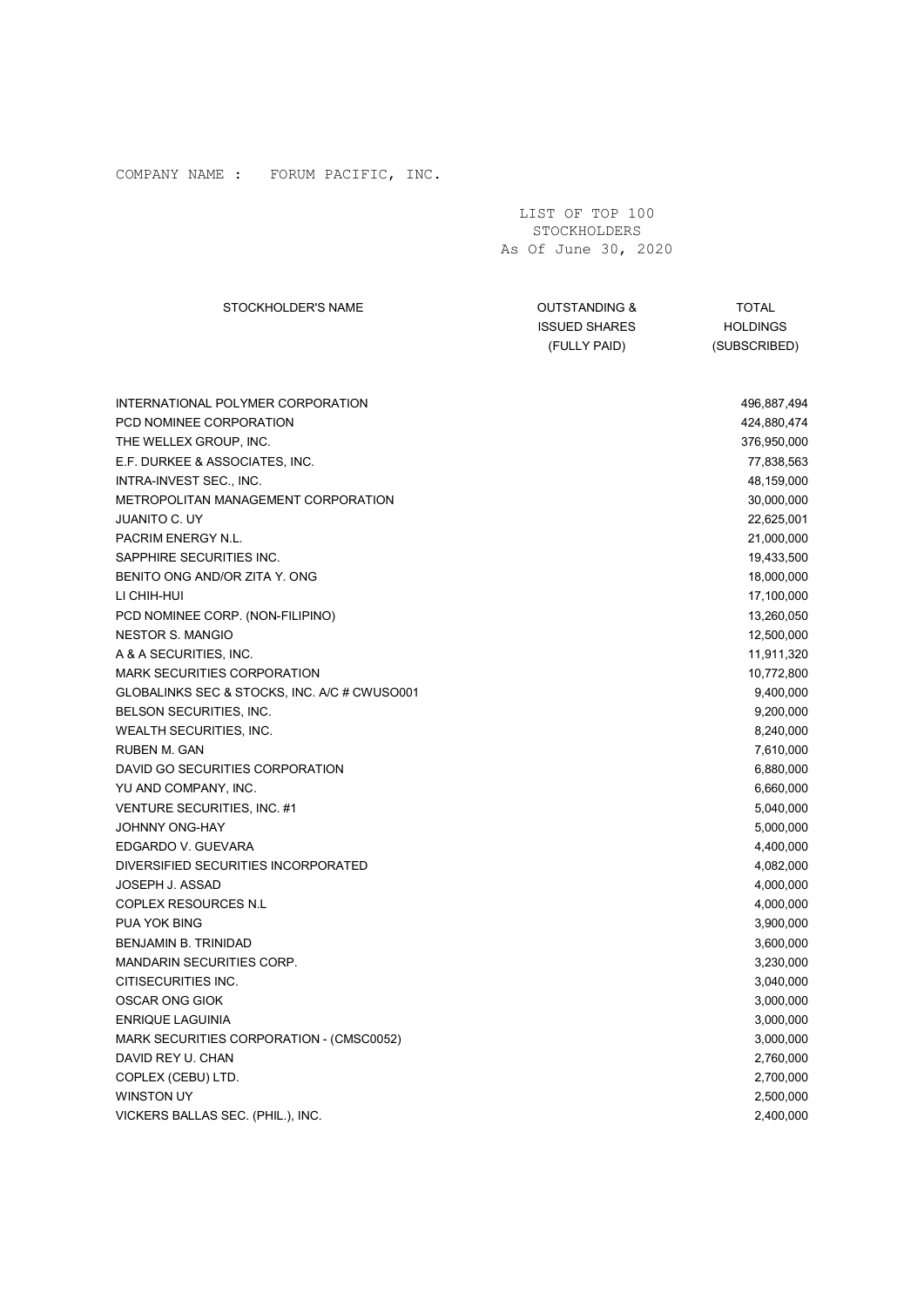| COMPANY NAME : FORUM PACIFIC, INC.                                                                                                                                                                                                                                                                                                                                                                                                                                                                                                                                                                                                                                                                                                                                                                                                                                                                                                                                                                                                                                                                                  |                                                                  |                                                                                                                                                                                                                                                                                                                                                                                                                                                                                                                              |
|---------------------------------------------------------------------------------------------------------------------------------------------------------------------------------------------------------------------------------------------------------------------------------------------------------------------------------------------------------------------------------------------------------------------------------------------------------------------------------------------------------------------------------------------------------------------------------------------------------------------------------------------------------------------------------------------------------------------------------------------------------------------------------------------------------------------------------------------------------------------------------------------------------------------------------------------------------------------------------------------------------------------------------------------------------------------------------------------------------------------|------------------------------------------------------------------|------------------------------------------------------------------------------------------------------------------------------------------------------------------------------------------------------------------------------------------------------------------------------------------------------------------------------------------------------------------------------------------------------------------------------------------------------------------------------------------------------------------------------|
|                                                                                                                                                                                                                                                                                                                                                                                                                                                                                                                                                                                                                                                                                                                                                                                                                                                                                                                                                                                                                                                                                                                     | LIST OF TOP 100<br>STOCKHOLDERS<br>As Of June 30, 2020           |                                                                                                                                                                                                                                                                                                                                                                                                                                                                                                                              |
| STOCKHOLDER'S NAME                                                                                                                                                                                                                                                                                                                                                                                                                                                                                                                                                                                                                                                                                                                                                                                                                                                                                                                                                                                                                                                                                                  | <b>OUTSTANDING &amp;</b><br><b>ISSUED SHARES</b><br>(FULLY PAID) | <b>TOTAL</b><br><b>HOLDINGS</b><br>(SUBSCRIBED)                                                                                                                                                                                                                                                                                                                                                                                                                                                                              |
| INTERNATIONAL POLYMER CORPORATION<br>PCD NOMINEE CORPORATION<br>THE WELLEX GROUP, INC.<br>E.F. DURKEE & ASSOCIATES, INC.<br>INTRA-INVEST SEC., INC.<br><b>METROPOLITAN MANAGEMENT CORPORATION</b><br><b>JUANITO C. UY</b><br>PACRIM ENERGY N.L.<br>SAPPHIRE SECURITIES INC.<br>BENITO ONG AND/OR ZITA Y. ONG<br>LI CHIH-HUI<br>PCD NOMINEE CORP. (NON-FILIPINO)<br><b>NESTOR S. MANGIO</b><br>A & A SECURITIES, INC.<br><b>MARK SECURITIES CORPORATION</b><br>GLOBALINKS SEC & STOCKS, INC. A/C # CWUSO001<br>BELSON SECURITIES, INC.<br>WEALTH SECURITIES, INC.<br><b>RUBEN M. GAN</b><br>DAVID GO SECURITIES CORPORATION<br>YU AND COMPANY, INC.<br>VENTURE SECURITIES, INC. #1<br>JOHNNY ONG-HAY<br>EDGARDO V. GUEVARA<br>DIVERSIFIED SECURITIES INCORPORATED<br>JOSEPH J. ASSAD<br><b>COPLEX RESOURCES N.L</b><br>PUA YOK BING<br><b>BENJAMIN B. TRINIDAD</b><br><b>MANDARIN SECURITIES CORP.</b><br>CITISECURITIES INC.<br>OSCAR ONG GIOK<br><b>ENRIQUE LAGUINIA</b><br>MARK SECURITIES CORPORATION - (CMSC0052)<br>DAVID REY U. CHAN<br>COPLEX (CEBU) LTD.<br>WINSTON UY<br>VICKERS BALLAS SEC. (PHIL.), INC. |                                                                  | 496,887,494<br>424,880,474<br>376,950,000<br>77,838,563<br>48,159,000<br>30,000,000<br>22,625,001<br>21,000,000<br>19,433,500<br>18,000,000<br>17,100,000<br>13,260,050<br>12,500,000<br>11,911,320<br>10,772,800<br>9,400,000<br>9,200,000<br>8,240,000<br>7,610,000<br>6,880,000<br>6,660,000<br>5,040,000<br>5,000,000<br>4,400,000<br>4,082,000<br>4,000,000<br>4,000,000<br>3,900,000<br>3,600,000<br>3,230,000<br>3,040,000<br>3,000,000<br>3,000,000<br>3,000,000<br>2,760,000<br>2,700,000<br>2,500,000<br>2,400,000 |
|                                                                                                                                                                                                                                                                                                                                                                                                                                                                                                                                                                                                                                                                                                                                                                                                                                                                                                                                                                                                                                                                                                                     |                                                                  |                                                                                                                                                                                                                                                                                                                                                                                                                                                                                                                              |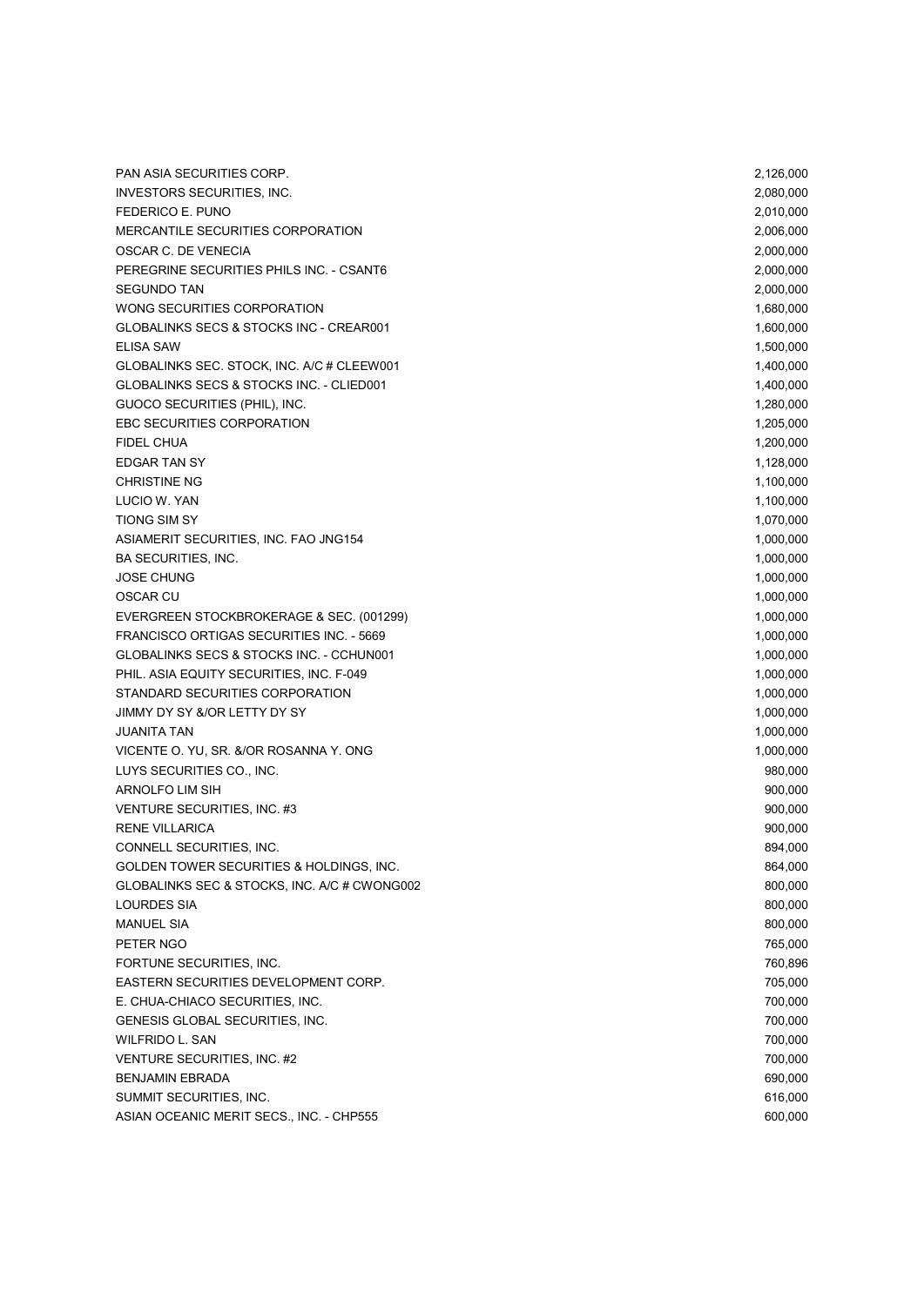PAN ASIA SECURITIES CORP. 2,126,000 INVESTORS SECURITIES, INC. 2,080,000 FEDERICO E. PUNO 2,010,000 MERCANTILE SECURITIES CORPORATION 2,006,000 OSCAR C. DE VENECIA 2,000,000 PEREGRINE SECURITIES PHILS INC. - CSANT6 2,000,000 SEGUNDO TAN 2,000,000 WONG SECURITIES CORPORATION **1,680,000** 1,680,000 GLOBALINKS SECS & STOCKS INC - CREAR001 2000 1,600,000 1,600,000 ELISA SAW 1,500,000 GLOBALINKS SEC. STOCK, INC. A/C # CLEEW001 1,400,000 1,400,000 1,400,000 GLOBALINKS SECS & STOCKS INC. - CLIED001 2, 2002 1,400,000 1,400,000 GUOCO SECURITIES (PHIL), INC. 1,280,000 EBC SECURITIES CORPORATION **1,205,000** 1,205,000 FIDEL CHUA 1,200,000 EDGAR TAN SY 1,128,000 CHRISTINE NG 1,100,000 LUCIO W. YAN 1,100,000 TIONG SIM SY 1,070,000 ASIAMERIT SECURITIES, INC. FAO JNG154 1,000,000 BA SECURITIES. INC. 2000.000 PM AND THE SALE OF A SECURITIES. INC. JOSE CHUNG 1,000,000 OSCAR CU ANNO 1,000,000 to the control of the control of the control of the control of the control of the control of the control of the control of the control of the control of the control of the control of the control of EVERGREEN STOCKBROKERAGE & SEC. (001299) 1,000,000 FRANCISCO ORTIGAS SECURITIES INC. - 5669 1,000,000 1,000,000 1,000,000 GLOBALINKS SECS & STOCKS INC. - CCHUN001 2, 2000,000 1,000,000 1,000,000 PHIL. ASIA EQUITY SECURITIES, INC. F-049 1,000,000 STANDARD SECURITIES CORPORATION **1,000,000** JIMMY DY SY &/OR LETTY DY SY 1,000,000 JUANITA TAN 1,000,000 VICENTE O. YU, SR. &/OR ROSANNA Y. ONG 1,000,000 NOTES AND THE RESERVE OF THE RESERVE OF THE RESERVE OF THE RESERVE OF THE RESERVE OF THE RESERVE OF THE RESERVE OF THE RESERVE OF THE RESERVE OF THE RESERVE OF THE RESERVE O LUYS SECURITIES CO., INC. 980,000 ARNOLFO LIM SIH 900,000 VENTURE SECURITIES, INC. #3 900,000 RENE VILLARICA 900,000 CONNELL SECURITIES, INC. 694,000 and 1995 and 1997 and 1997 and 1997 and 1997 and 1997 and 1997 and 1997 and 19 GOLDEN TOWER SECURITIES & HOLDINGS, INC. **864,000** 864,000 GLOBALINKS SEC & STOCKS, INC. A/C # CWONG002 800,000 800,000 800,000 LOURDES SIA 800,000 MANUEL SIA 800,000 km and the state of the state of the state of the state of the state of the state of the state of the state of the state of the state of the state of the state of the state of the state of the state of t PETER NGO 765,000 PETER NGO 765,000 PETER NGO 765,000 PETER NGO 765,000 PETER NGO 765,000 PETER NGO 765,000 PETER NGO 765,000 PETER NGO 765,000 PETER NGO 765,000 PETER NGO 765,000 PETER NGO 765,000 PETER NGO 765,000 PETER FORTUNE SECURITIES, INC. **760,896** EASTERN SECURITIES DEVELOPMENT CORP. THE SECURITIES OF A SECURITIES OF A SECURITIES OF A SECURITIES OF A SECURITIES OF A SECURITIES OF A SECURITIES OF A SECURITIES OF A SECURITIES OF A SECURITIES OF A SECURITIES OF A SECUR E. CHUA-CHIACO SECURITIES, INC. 700,000 GENESIS GLOBAL SECURITIES, INC. 700,000 WILFRIDO L. SAN 700,000 VENTURE SECURITIES, INC. #2 700,000 BENJAMIN EBRADA 690,000 SUMMIT SECURITIES. INC. 616,000 ASIAN OCEANIC MERIT SECS., INC. - CHP555 600,000 and the control of the control of the control of the control of the control of the control of the control of the control of the control of the control of the control of the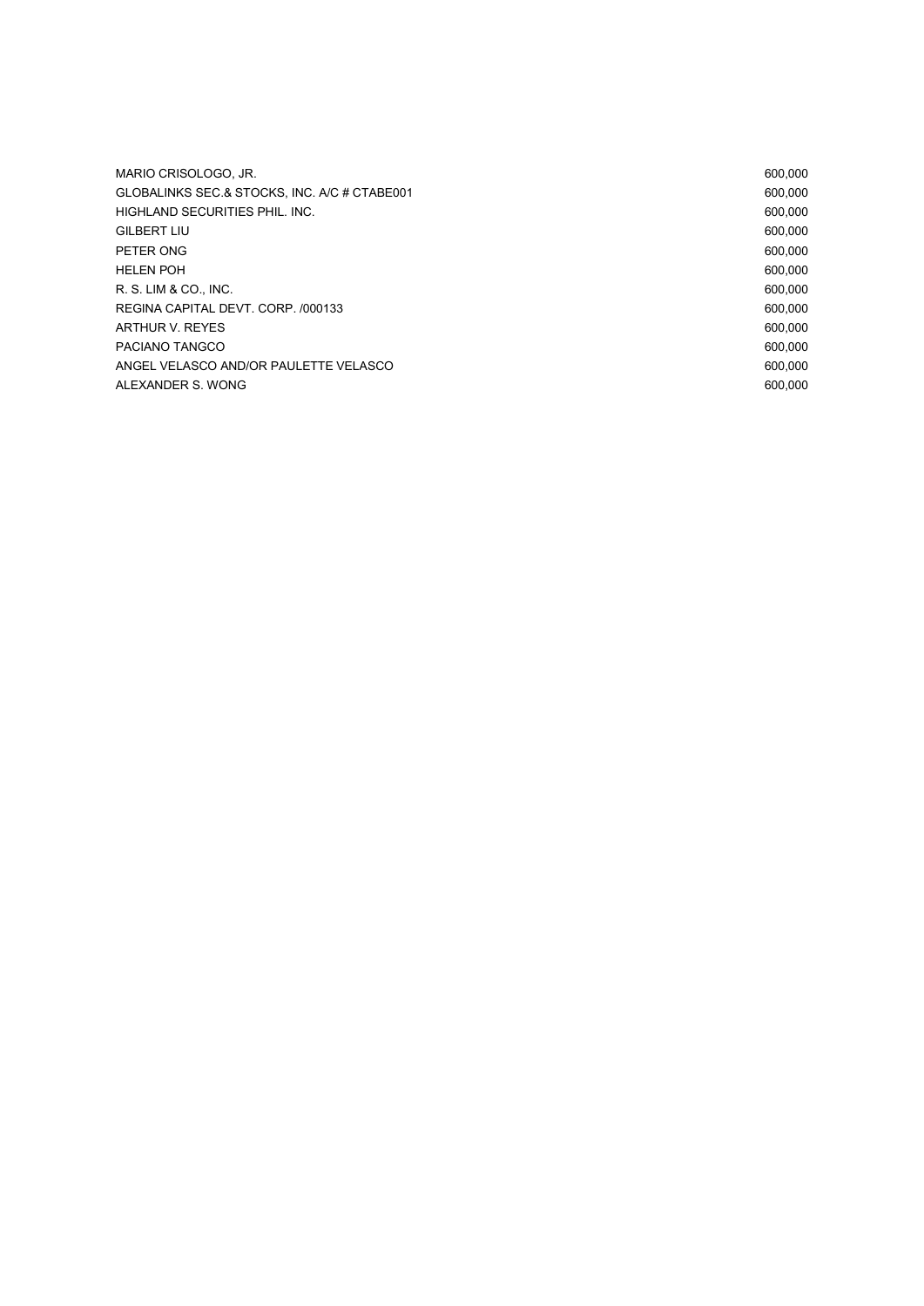| MARIO CRISOLOGO. JR.                         | 600.000 |
|----------------------------------------------|---------|
| GLOBALINKS SEC.& STOCKS, INC. A/C # CTABE001 | 600.000 |
| HIGHLAND SECURITIES PHIL. INC.               | 600.000 |
| <b>GILBERT LIU</b>                           | 600.000 |
| PETER ONG                                    | 600.000 |
| <b>HELEN POH</b>                             | 600.000 |
| R. S. LIM & CO., INC.                        | 600.000 |
| REGINA CAPITAL DEVT. CORP. /000133           | 600.000 |
| ARTHUR V. REYES                              | 600.000 |
| PACIANO TANGCO                               | 600.000 |
| ANGEL VELASCO AND/OR PAULETTE VELASCO        | 600.000 |
| ALEXANDER S. WONG                            | 600.000 |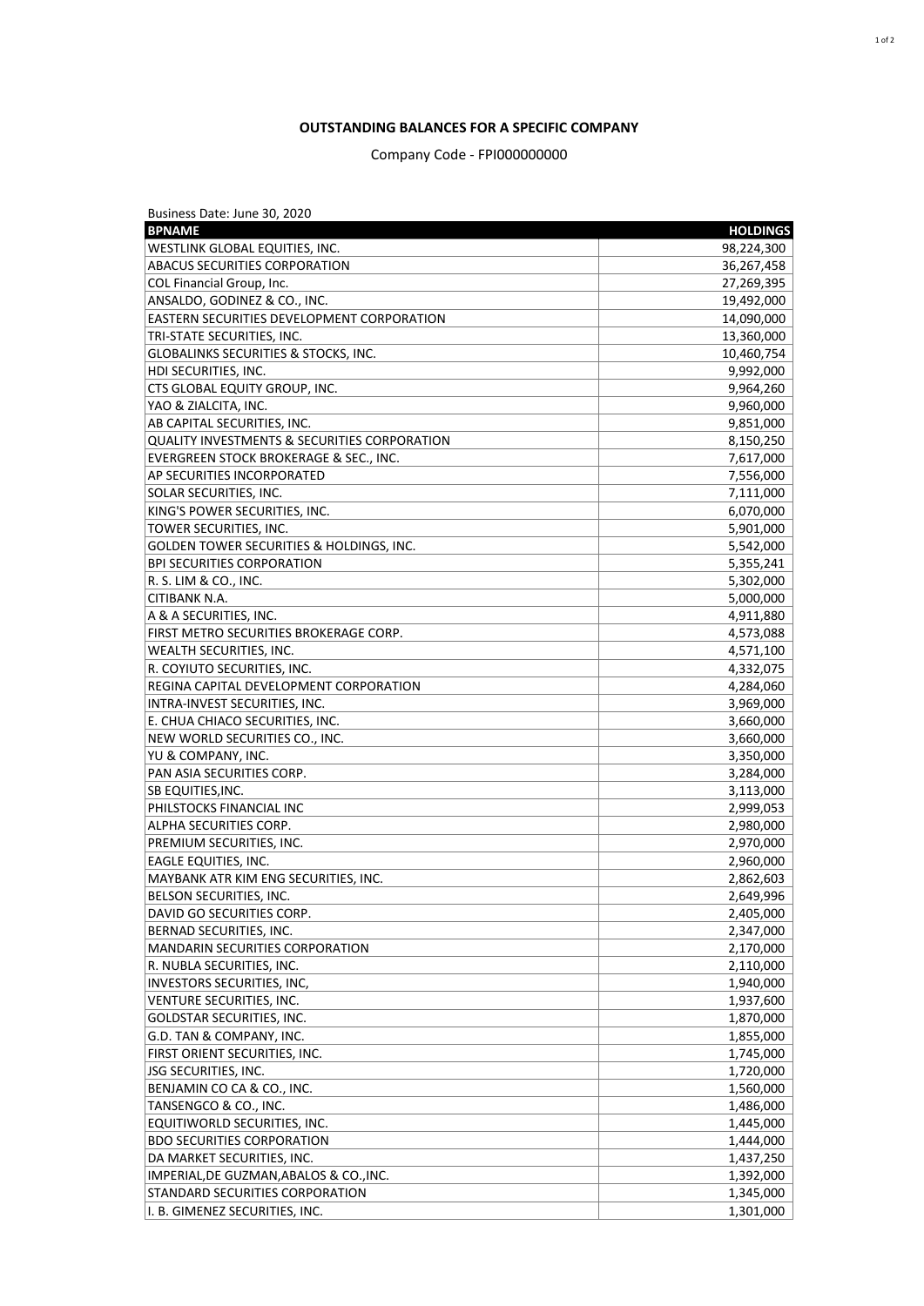## **OUTSTANDING BALANCES FOR A SPECIFIC COMPANY**

## Company Code - FPI000000000

| Business Date: June 30, 2020                        |                 |
|-----------------------------------------------------|-----------------|
| <b>BPNAME</b>                                       | <b>HOLDINGS</b> |
| WESTLINK GLOBAL EQUITIES, INC.                      | 98,224,300      |
| <b>ABACUS SECURITIES CORPORATION</b>                | 36,267,458      |
| COL Financial Group, Inc.                           | 27,269,395      |
| ANSALDO, GODINEZ & CO., INC.                        | 19,492,000      |
| <b>EASTERN SECURITIES DEVELOPMENT CORPORATION</b>   | 14,090,000      |
| TRI-STATE SECURITIES, INC.                          | 13,360,000      |
| <b>GLOBALINKS SECURITIES &amp; STOCKS, INC.</b>     | 10,460,754      |
| HDI SECURITIES, INC.                                | 9,992,000       |
| CTS GLOBAL EQUITY GROUP, INC.                       | 9,964,260       |
| YAO & ZIALCITA, INC.                                | 9,960,000       |
| AB CAPITAL SECURITIES, INC.                         | 9,851,000       |
| QUALITY INVESTMENTS & SECURITIES CORPORATION        | 8,150,250       |
| EVERGREEN STOCK BROKERAGE & SEC., INC.              | 7,617,000       |
| <b>AP SECURITIES INCORPORATED</b>                   | 7,556,000       |
| <b>SOLAR SECURITIES, INC.</b>                       | 7,111,000       |
| KING'S POWER SECURITIES, INC.                       | 6,070,000       |
| TOWER SECURITIES, INC.                              | 5,901,000       |
| <b>GOLDEN TOWER SECURITIES &amp; HOLDINGS, INC.</b> | 5,542,000       |
| <b>BPI SECURITIES CORPORATION</b>                   | 5,355,241       |
| R. S. LIM & CO., INC.                               | 5,302,000       |
| <b>CITIBANK N.A.</b>                                | 5,000,000       |
| A & A SECURITIES, INC.                              | 4,911,880       |
| FIRST METRO SECURITIES BROKERAGE CORP.              | 4,573,088       |
| <b>WEALTH SECURITIES, INC.</b>                      | 4,571,100       |
| R. COYIUTO SECURITIES, INC.                         | 4,332,075       |
| REGINA CAPITAL DEVELOPMENT CORPORATION              | 4,284,060       |
| INTRA-INVEST SECURITIES, INC.                       | 3,969,000       |
| E. CHUA CHIACO SECURITIES, INC.                     | 3,660,000       |
| NEW WORLD SECURITIES CO., INC.                      | 3,660,000       |
| YU & COMPANY, INC.                                  | 3,350,000       |
| PAN ASIA SECURITIES CORP.                           | 3,284,000       |
| <b>SB EQUITIES, INC.</b>                            | 3,113,000       |
| PHILSTOCKS FINANCIAL INC                            | 2,999,053       |
| ALPHA SECURITIES CORP.                              | 2,980,000       |
| PREMIUM SECURITIES, INC.                            | 2,970,000       |
| <b>EAGLE EQUITIES, INC.</b>                         | 2,960,000       |
| MAYBANK ATR KIM ENG SECURITIES, INC.                | 2,862,603       |
| BELSON SECURITIES, INC.                             | 2,649,996       |
| DAVID GO SECURITIES CORP.                           | 2,405,000       |
| BERNAD SECURITIES, INC.                             | 2,347,000       |
| MANDARIN SECURITIES CORPORATION                     | 2,170,000       |
| R. NUBLA SECURITIES, INC.                           | 2,110,000       |
| INVESTORS SECURITIES, INC,                          | 1,940,000       |
| VENTURE SECURITIES, INC.                            | 1,937,600       |
| <b>GOLDSTAR SECURITIES, INC.</b>                    | 1,870,000       |
| G.D. TAN & COMPANY, INC.                            | 1,855,000       |
| FIRST ORIENT SECURITIES, INC.                       | 1,745,000       |
| <b>JSG SECURITIES, INC.</b>                         | 1,720,000       |
| BENJAMIN CO CA & CO., INC.                          | 1,560,000       |
| TANSENGCO & CO., INC.                               | 1,486,000       |
| EQUITIWORLD SECURITIES, INC.                        | 1,445,000       |
| <b>BDO SECURITIES CORPORATION</b>                   | 1,444,000       |
| DA MARKET SECURITIES, INC.                          | 1,437,250       |
| IMPERIAL, DE GUZMAN, ABALOS & CO., INC.             | 1,392,000       |
| <b>STANDARD SECURITIES CORPORATION</b>              | 1,345,000       |
| I. B. GIMENEZ SECURITIES, INC.                      | 1,301,000       |